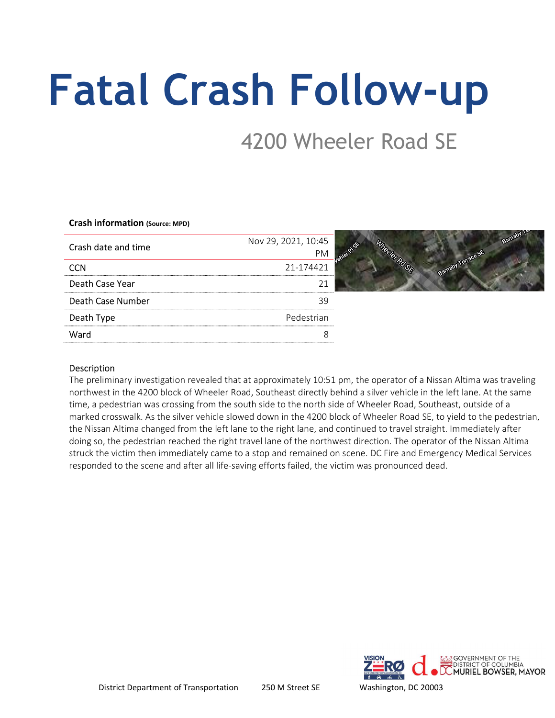# Fatal Crash Follow-up

## 4200 Wheeler Road SE

#### Crash information (Source: MPD)

| Crash date and time | Nov 29, 2021, 10:45 |
|---------------------|---------------------|
|                     |                     |
|                     | 21-174421           |
| Death Case Year     |                     |
| Death Case Number   |                     |
| Death Type          | Pedestrian          |
| Ward                |                     |
|                     |                     |

Google maps screenshot of crash location

## Description

The preliminary investigation revealed that at approximately 10:51 pm, the operator of a Nissan Altima was traveling northwest in the 4200 block of Wheeler Road, Southeast directly behind a silver vehicle in the left lane. At the same time, a pedestrian was crossing from the south side to the north side of Wheeler Road, Southeast, outside of a marked crosswalk. As the silver vehicle slowed down in the 4200 block of Wheeler Road SE, to yield to the pedestrian, the Nissan Altima changed from the left lane to the right lane, and continued to travel straight. Immediately after doing so, the pedestrian reached the right travel lane of the northwest direction. The operator of the Nissan Altima struck the victim then immediately came to a stop and remained on scene. DC Fire and Emergency Medical Services responded to the scene and after all life-saving efforts failed, the victim was pronounced dead.